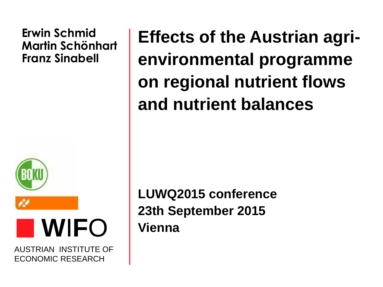#### **Erwin Schmid Martin Schönhart Franz Sinabell**



**W**I**F**O

AUSTRIAN INSTITUTE OF ECONOMIC RESEARCH

**Effects of the Austrian agrienvironmental programme on regional nutrient flows and nutrient balances**

**LUWQ2015 conference 23th September 2015 Vienna**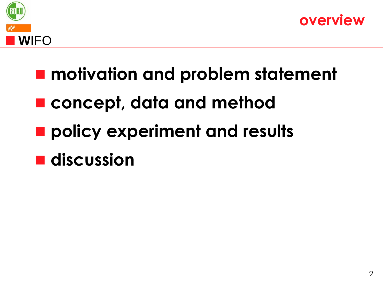



- **motivation and problem statement**
- **concept, data and method**
- **policy experiment and results**
- **discussion**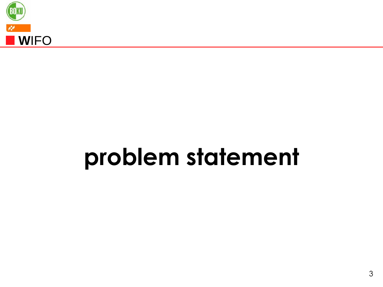

### **problem statement**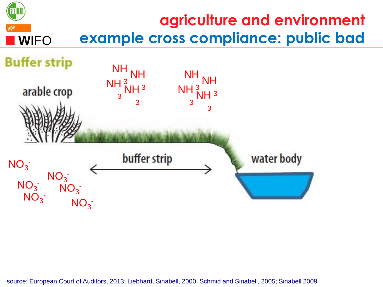

source: European Court of Auditors, 2013; Liebhard, Sinabell, 2000; Schmid and Sinabell, 2005; Sinabell 2009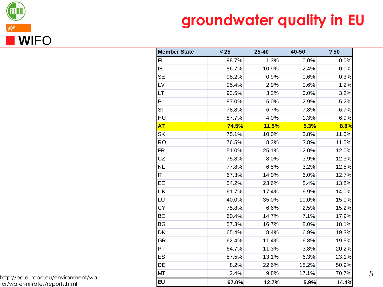

### **groundwater quality in EU**

| <b>Member State</b> | $25$  | 25-40        | 40-50 | ?50   |
|---------------------|-------|--------------|-------|-------|
| F1                  | 98.7% | 1.3%         | 0.0%  | 0.0%  |
| IE                  | 86.7% | 10.9%        | 2.4%  | 0.0%  |
| <b>SE</b>           | 98.2% | 0.9%         | 0.6%  | 0.3%  |
| LV                  | 95.4% | 2.9%         | 0.6%  | 1.2%  |
| LT.                 | 93.5% | 3.2%         | 0.0%  | 3.2%  |
| PL                  | 87.0% | 5.0%         | 2.9%  | 5.2%  |
| SI                  | 78.8% | 6.7%         | 7.8%  | 6.7%  |
| HU                  | 87.7% | 4.0%         | 1.3%  | 6.9%  |
| <b>AT</b>           | 74.5% | <b>11.5%</b> | 5.3%  | 8.8%  |
| <b>SK</b>           | 75.1% | 10.0%        | 3.8%  | 11.0% |
| <b>RO</b>           | 76.5% | 8.3%         | 3.8%  | 11.5% |
| <b>FR</b>           | 51.0% | 25.1%        | 12.0% | 12.0% |
| <b>CZ</b>           | 75.8% | 8.0%         | 3.9%  | 12.3% |
| NL                  | 77.8% | 6.5%         | 3.2%  | 12.5% |
| IT                  | 67.3% | 14.0%        | 6.0%  | 12.7% |
| EE                  | 54.2% | 23.6%        | 8.4%  | 13.8% |
| UK                  | 61.7% | 17.4%        | 6.9%  | 14.0% |
| LU                  | 40.0% | 35.0%        | 10.0% | 15.0% |
| <b>CY</b>           | 75.8% | 6.6%         | 2.5%  | 15.2% |
| BE                  | 60.4% | 14.7%        | 7.1%  | 17.9% |
| BG                  | 57.3% | 16.7%        | 8.0%  | 18.1% |
| DK                  | 65.4% | 8.4%         | 6.9%  | 19.3% |
| GR                  | 62.4% | 11.4%        | 6.8%  | 19.5% |
| PT                  | 64.7% | 11.3%        | 3.8%  | 20.2% |
| ES                  | 57.5% | 13.1%        | 6.3%  | 23.1% |
| DE                  | 8.2%  | 22.6%        | 18.2% | 50.9% |
| MT                  | 2.4%  | 9.8%         | 17.1% | 70.7% |
| <b>EU</b>           | 67.0% | 12.7%        | 5.9%  | 14.4% |

http://ec.europa.eu/environment/wa ter/water-nitrates/reports.html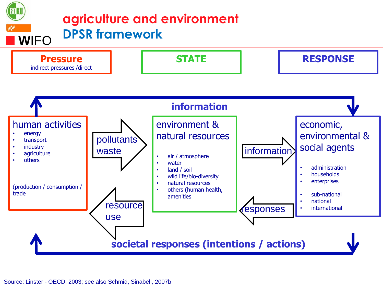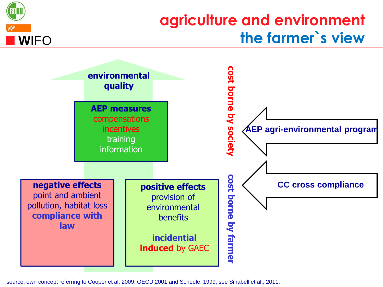

source: own concept referring to Cooper et al. 2009, OECD 2001 and Scheele, 1999; see Sinabell et al., 2011.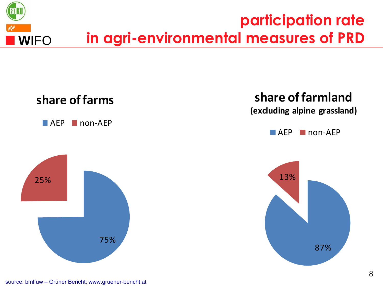

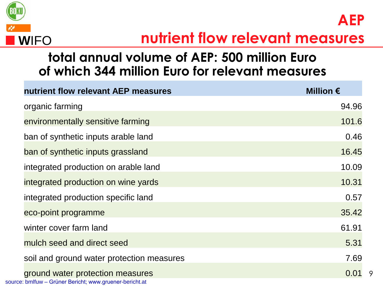

**AEP**

9

#### **total annual volume of AEP: 500 million Euro of which 344 million Euro for relevant measures**

| nutrient flow relevant AEP measures                                                         | Million $\epsilon$ |
|---------------------------------------------------------------------------------------------|--------------------|
| organic farming                                                                             | 94.96              |
| environmentally sensitive farming                                                           | 101.6              |
| ban of synthetic inputs arable land                                                         | 0.46               |
| ban of synthetic inputs grassland                                                           | 16.45              |
| integrated production on arable land                                                        | 10.09              |
| integrated production on wine yards                                                         | 10.31              |
| integrated production specific land                                                         | 0.57               |
| eco-point programme                                                                         | 35.42              |
| winter cover farm land                                                                      | 61.91              |
| mulch seed and direct seed                                                                  | 5.31               |
| soil and ground water protection measures                                                   | 7.69               |
| ground water protection measures<br>source: bmlfuw - Grüner Bericht; www.gruener-bericht.at | 0.01               |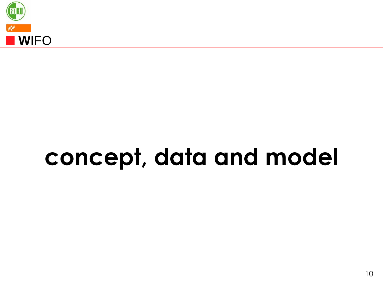

## **concept, data and model**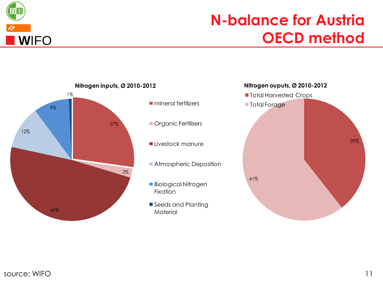

### **N-balance for Austria OECD method**

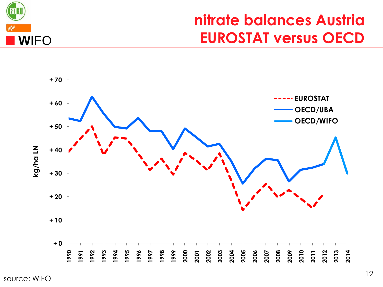

#### **nitrate balances Austria EUROSTAT versus OECD**

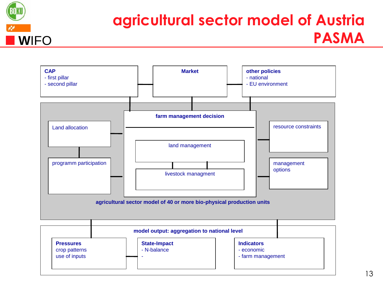

### **agricultural sector model of Austria PASMA**

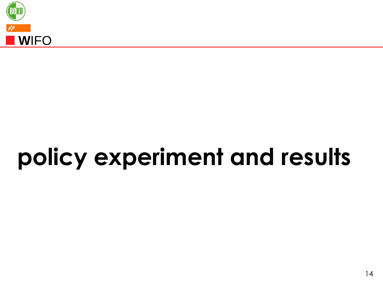

# **policy experiment and results**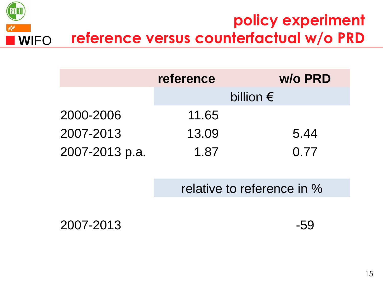

|                | reference | w/o PRD            |  |
|----------------|-----------|--------------------|--|
|                |           | billion $\epsilon$ |  |
| 2000-2006      | 11.65     |                    |  |
| 2007-2013      | 13.09     | 5.44               |  |
| 2007-2013 p.a. | 1.87      | 0.77               |  |

relative to reference in %

2007-2013 -59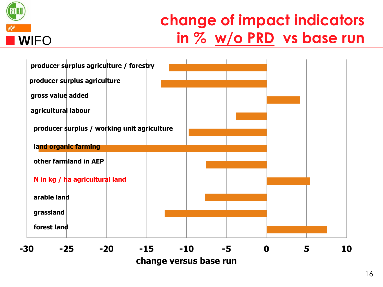

### **change of impact indicators in % w/o PRD vs base run**



**change versus base run**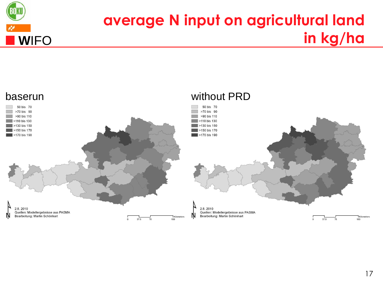

### **average N input on agricultural land in kg/ha**

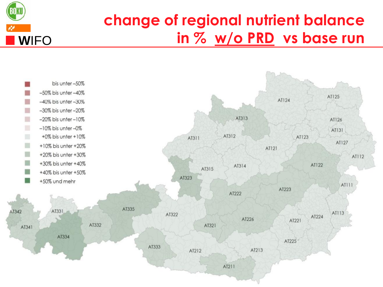

### **change of regional nutrient balance in % w/o PRD vs base run**

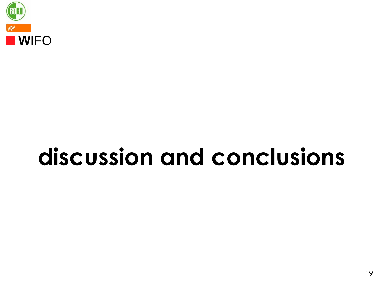

# **discussion and conclusions**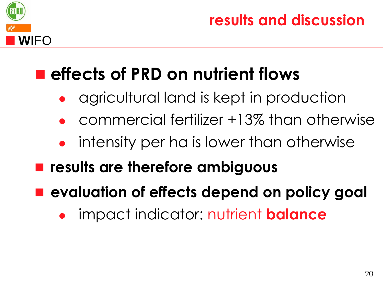

**results and discussion**

### **effects of PRD on nutrient flows**

- agricultural land is kept in production
- commercial fertilizer +13% than otherwise
- intensity per ha is lower than otherwise
- **results are therefore ambiguous**
- **evaluation of effects depend on policy goal**
	- impact indicator: nutrient **balance**